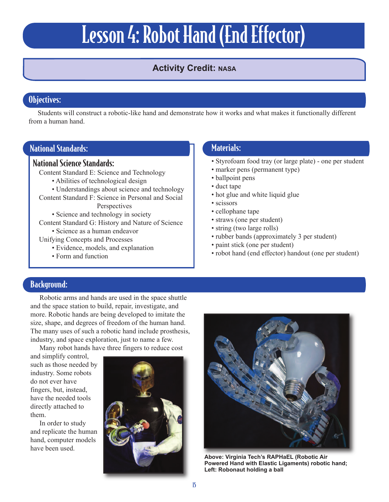# Lesson 4: Robot Hand (End Effector)

## **Activity Credit: NASA**

## Objectives:

Students will construct a robotic-like hand and demonstrate how it works and what makes it functionally different from a human hand.

#### National Standards:

#### National Science Standards:

Content Standard E: Science and Technology

- Abilities of technological design
- Understandings about science and technology Content Standard F: Science in Personal and Social **Perspectives**

• Science and technology in society

Content Standard G: History and Nature of Science

• Science as a human endeavor

Unifying Concepts and Processes

- Evidence, models, and explanation
- Form and function

## Materials:

- Styrofoam food tray (or large plate) one per student
- marker pens (permanent type)
- ballpoint pens
- duct tape
- hot glue and white liquid glue
- scissors
- cellophane tape
- straws (one per student)
- string (two large rolls)
- rubber bands (approximately 3 per student)
- paint stick (one per student)
- robot hand (end effector) handout (one per student)

#### Background:

Robotic arms and hands are used in the space shuttle and the space station to build, repair, investigate, and more. Robotic hands are being developed to imitate the size, shape, and degrees of freedom of the human hand. The many uses of such a robotic hand include prosthesis, industry, and space exploration, just to name a few.

Many robot hands have three fingers to reduce cost

and simplify control, such as those needed by industry. Some robots do not ever have fingers, but, instead, have the needed tools directly attached to them.

In order to study and replicate the human hand, computer models have been used.





**Above: Virginia Tech's RAPHaEL (Robotic Air Powered Hand with Elastic Ligaments) robotic hand; Left: Robonaut holding a ball**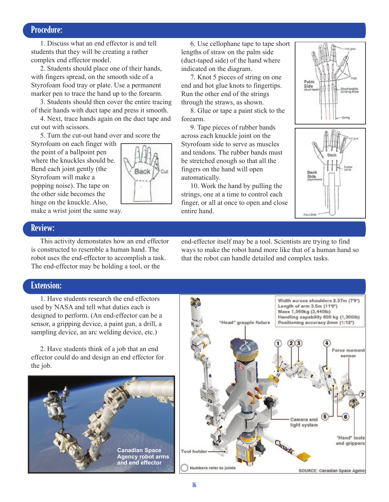#### Procedure:

1. Discuss what an end effector is and tell students that they will be creating a rather complex end effector model.

2. Students should place one of their hands, with fingers spread, on the smooth side of a Styrofoam food tray or plate. Use a permanent marker pen to trace the hand up to the forearm.

3. Students should then cover the entire tracing of their hands with duct tape and press it smooth.

4. Next, trace hands again on the duct tape and cut out with scissors.

5. Turn the cut-out hand over and score the

Styrofoam on each finger with the point of a ballpoint pen where the knuckles should be. Bend each joint gently (the Styrofoam will make a popping noise). The tape on the other side becomes the hinge on the knuckle. Also, make a wrist joint the same way.



6. Use cellophane tape to tape short lengths of straw on the palm side (duct-taped side) of the hand where indicated on the diagram.

7. Knot 5 pieces of string on one end and hot glue knots to fingertips. Run the other end of the strings through the straws, as shown.

8. Glue or tape a paint stick to the forearm.

9. Tape pieces of rubber bands across each knuckle joint on the Styrofoam side to serve as muscles and tendons. The rubber bands must be stretched enough so that all the fingers on the hand will open automatically.

10. Work the hand by pulling the strings, one at a time to control each finger, or all at once to open and close entire hand.



#### Review:

This activity demonstates how an end effector is constructed to resemble a human hand. The robot uses the end-effector to accomplish a task. The end-effector may be holding a tool, or the

end-effector itself may be a tool. Scientists are trying to find ways to make the robot hand more like that of a human hand so that the robot can handle detailed and complex tasks.

#### Extension:

1. Have students research the end effectors used by NASA and tell what duties each is designed to perform. (An end-effector can be a sensor, a gripping device, a paint gun, a drill, a sampling device, an arc welding device, etc.)

2. Have students think of a job that an end effector could do and design an end effector for the job.